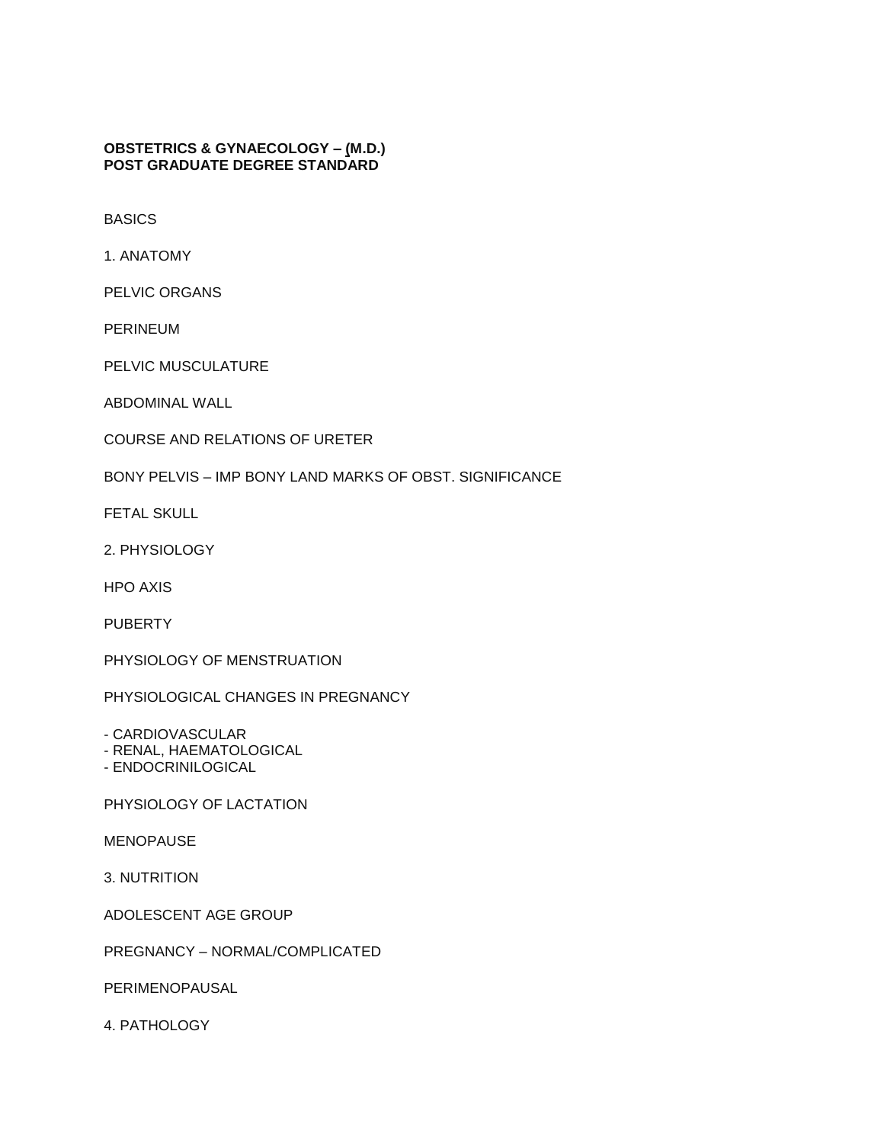**[OBSTETRICS & GYNAECOLOGY –](http://tnpsc.gov.in/obstngyn.htm) (M.D.) POST GRADUATE DEGREE STANDARD**

BASICS

1. ANATOMY

PELVIC ORGANS

PERINEUM

PELVIC MUSCULATURE

ABDOMINAL WALL

COURSE AND RELATIONS OF URETER

BONY PELVIS – IMP BONY LAND MARKS OF OBST. SIGNIFICANCE

FETAL SKULL

2. PHYSIOLOGY

HPO AXIS

PUBERTY

PHYSIOLOGY OF MENSTRUATION

PHYSIOLOGICAL CHANGES IN PREGNANCY

- CARDIOVASCULAR

- RENAL, HAEMATOLOGICAL

- ENDOCRINILOGICAL

PHYSIOLOGY OF LACTATION

MENOPAUSE

3. NUTRITION

ADOLESCENT AGE GROUP

PREGNANCY – NORMAL/COMPLICATED

PERIMENOPAUSAL

4. PATHOLOGY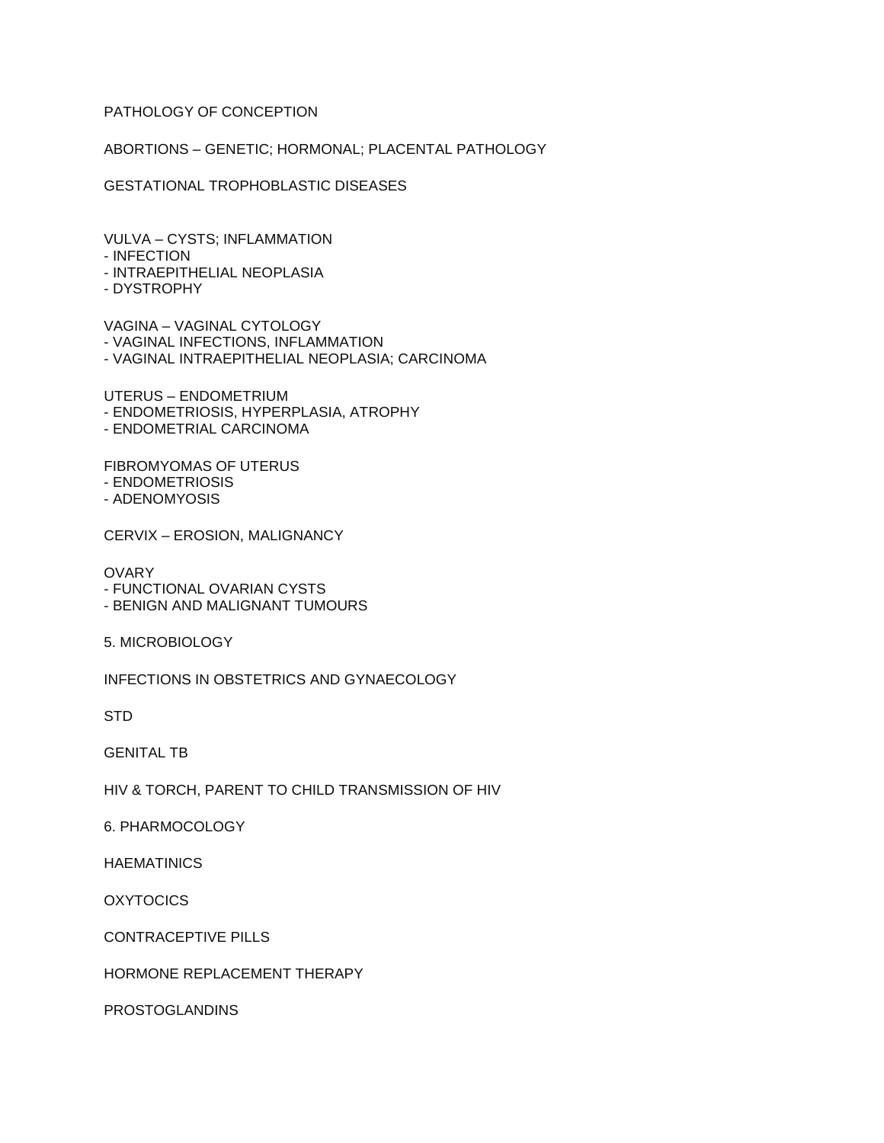## PATHOLOGY OF CONCEPTION

ABORTIONS – GENETIC; HORMONAL; PLACENTAL PATHOLOGY

GESTATIONAL TROPHOBLASTIC DISEASES

VULVA – CYSTS; INFLAMMATION

- INFECTION
- INTRAEPITHELIAL NEOPLASIA
- DYSTROPHY

VAGINA – VAGINAL CYTOLOGY

- VAGINAL INFECTIONS, INFLAMMATION

- VAGINAL INTRAEPITHELIAL NEOPLASIA; CARCINOMA

UTERUS – ENDOMETRIUM

- ENDOMETRIOSIS, HYPERPLASIA, ATROPHY
- ENDOMETRIAL CARCINOMA

FIBROMYOMAS OF UTERUS

- ENDOMETRIOSIS
- ADENOMYOSIS

CERVIX – EROSION, MALIGNANCY

**OVARY** 

- FUNCTIONAL OVARIAN CYSTS
- BENIGN AND MALIGNANT TUMOURS
- 5. MICROBIOLOGY

INFECTIONS IN OBSTETRICS AND GYNAECOLOGY

STD

GENITAL TB

HIV & TORCH, PARENT TO CHILD TRANSMISSION OF HIV

6. PHARMOCOLOGY

**HAEMATINICS** 

**OXYTOCICS** 

CONTRACEPTIVE PILLS

HORMONE REPLACEMENT THERAPY

PROSTOGLANDINS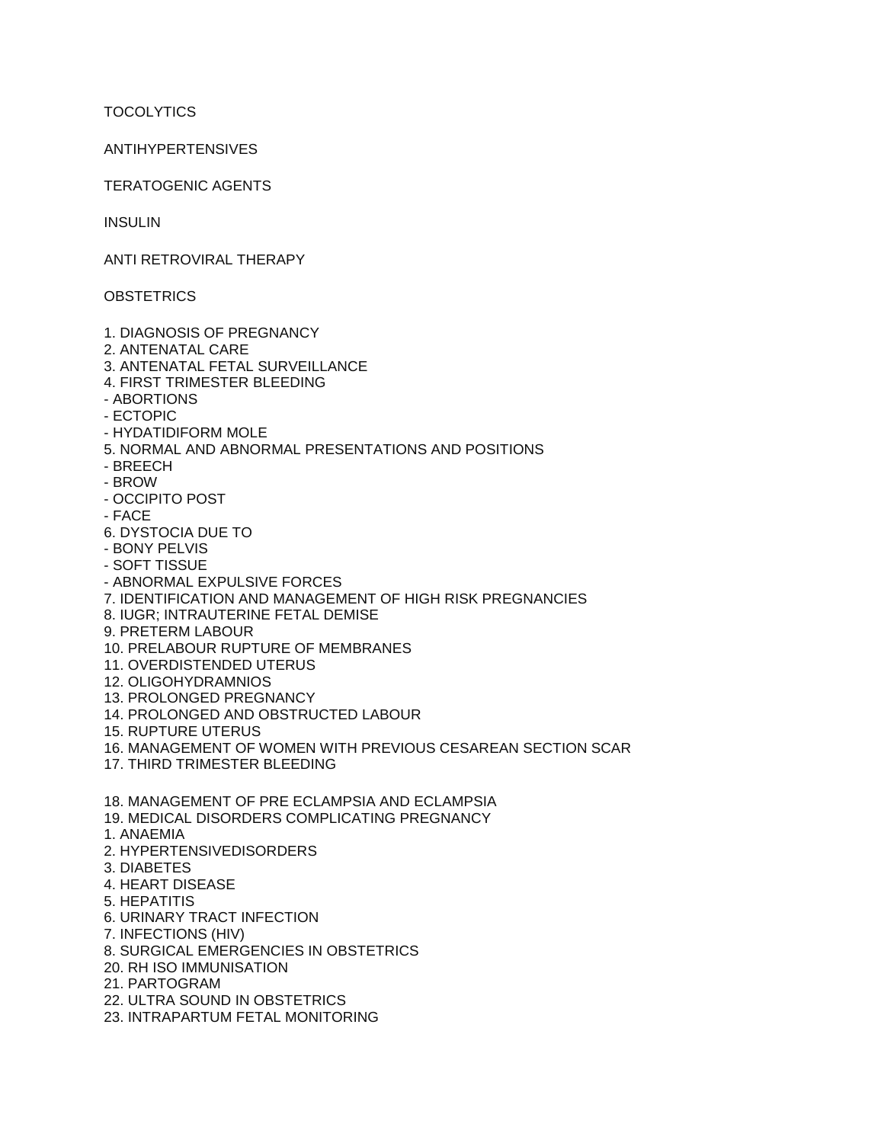**TOCOLYTICS** 

## ANTIHYPERTENSIVES

TERATOGENIC AGENTS

**INSULIN** 

ANTI RETROVIRAL THERAPY

**OBSTETRICS** 

- 1. DIAGNOSIS OF PREGNANCY
- 2. ANTENATAL CARE
- 3. ANTENATAL FETAL SURVEILLANCE
- 4. FIRST TRIMESTER BLEEDING
- ABORTIONS
- ECTOPIC
- HYDATIDIFORM MOLE
- 5. NORMAL AND ABNORMAL PRESENTATIONS AND POSITIONS
- BREECH
- BROW
- OCCIPITO POST
- FACE
- 6. DYSTOCIA DUE TO
- BONY PELVIS
- SOFT TISSUE
- ABNORMAL EXPULSIVE FORCES
- 7. IDENTIFICATION AND MANAGEMENT OF HIGH RISK PREGNANCIES
- 8. IUGR; INTRAUTERINE FETAL DEMISE
- 9. PRETERM LABOUR
- 10. PRELABOUR RUPTURE OF MEMBRANES
- 11. OVERDISTENDED UTERUS
- 12. OLIGOHYDRAMNIOS
- 13. PROLONGED PREGNANCY
- 14. PROLONGED AND OBSTRUCTED LABOUR
- 15. RUPTURE UTERUS
- 16. MANAGEMENT OF WOMEN WITH PREVIOUS CESAREAN SECTION SCAR
- 17. THIRD TRIMESTER BLEEDING
- 18. MANAGEMENT OF PRE ECLAMPSIA AND ECLAMPSIA
- 19. MEDICAL DISORDERS COMPLICATING PREGNANCY
- 1. ANAEMIA
- 2. HYPERTENSIVEDISORDERS
- 3. DIABETES
- 4. HEART DISEASE
- 5. HEPATITIS
- 6. URINARY TRACT INFECTION
- 7. INFECTIONS (HIV)
- 8. SURGICAL EMERGENCIES IN OBSTETRICS
- 20. RH ISO IMMUNISATION
- 21. PARTOGRAM
- 22. ULTRA SOUND IN OBSTETRICS
- 23. INTRAPARTUM FETAL MONITORING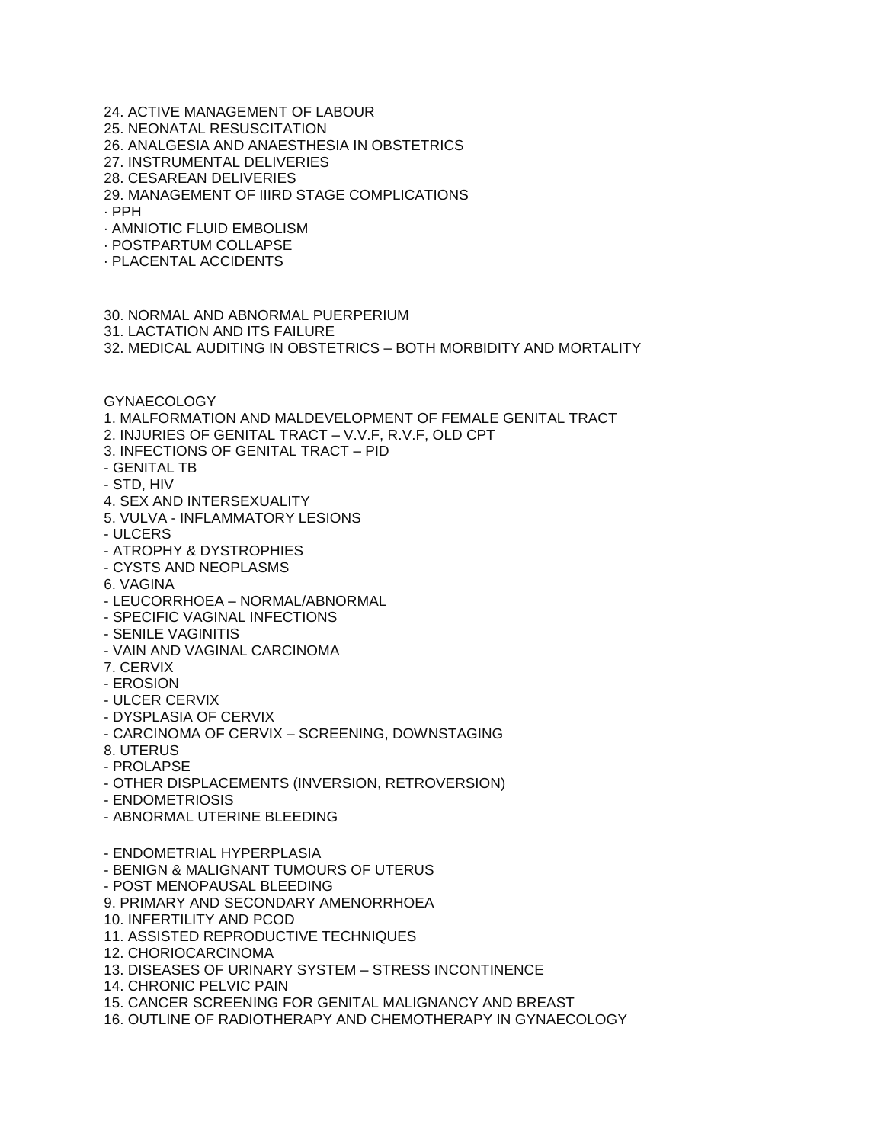24. ACTIVE MANAGEMENT OF LABOUR 25. NEONATAL RESUSCITATION 26. ANALGESIA AND ANAESTHESIA IN OBSTETRICS 27. INSTRUMENTAL DELIVERIES 28. CESAREAN DELIVERIES 29. MANAGEMENT OF IIIRD STAGE COMPLICATIONS · PPH · AMNIOTIC FLUID EMBOLISM · POSTPARTUM COLLAPSE · PLACENTAL ACCIDENTS 30. NORMAL AND ABNORMAL PUERPERIUM 31. LACTATION AND ITS FAILURE 32. MEDICAL AUDITING IN OBSTETRICS – BOTH MORBIDITY AND MORTALITY GYNAECOLOGY 1. MALFORMATION AND MALDEVELOPMENT OF FEMALE GENITAL TRACT 2. INJURIES OF GENITAL TRACT – V.V.F, R.V.F, OLD CPT 3. INFECTIONS OF GENITAL TRACT – PID - GENITAL TB - STD, HIV 4. SEX AND INTERSEXUALITY 5. VULVA - INFLAMMATORY LESIONS - ULCERS - ATROPHY & DYSTROPHIES - CYSTS AND NEOPLASMS 6. VAGINA - LEUCORRHOEA – NORMAL/ABNORMAL - SPECIFIC VAGINAL INFECTIONS - SENILE VAGINITIS - VAIN AND VAGINAL CARCINOMA 7. CERVIX - EROSION - ULCER CERVIX - DYSPLASIA OF CERVIX - CARCINOMA OF CERVIX – SCREENING, DOWNSTAGING 8. UTERUS - PROLAPSE - OTHER DISPLACEMENTS (INVERSION, RETROVERSION) - ENDOMETRIOSIS - ABNORMAL UTERINE BLEEDING - ENDOMETRIAL HYPERPLASIA - BENIGN & MALIGNANT TUMOURS OF UTERUS - POST MENOPAUSAL BLEEDING 9. PRIMARY AND SECONDARY AMENORRHOEA 10. INFERTILITY AND PCOD 11. ASSISTED REPRODUCTIVE TECHNIQUES 12. CHORIOCARCINOMA 13. DISEASES OF URINARY SYSTEM – STRESS INCONTINENCE 14. CHRONIC PELVIC PAIN 15. CANCER SCREENING FOR GENITAL MALIGNANCY AND BREAST 16. OUTLINE OF RADIOTHERAPY AND CHEMOTHERAPY IN GYNAECOLOGY